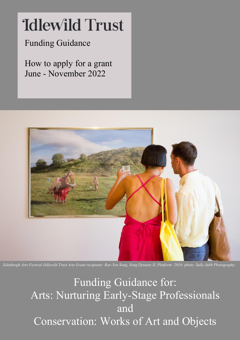# **Idlewild Trust**

### Funding Guidance

How to apply for a grant June - November 2022



*Edinburgh Arts Festival (Idlewild Trust Arts Grant recipient): Rae-Yen Song, Song Dynasty II, Platform: 2018; photo: Sally Jubb Photography*

Funding Guidance for: Arts: Nurturing Early-Stage Professionals and Conservation: Works of Art and Objects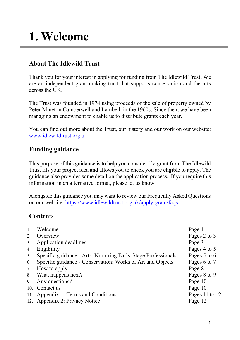### **1. Welcome**

#### **About The Idlewild Trust**

Thank you for your interest in applying for funding from The Idlewild Trust. We are an independent grant-making trust that supports conservation and the arts across the UK.

The Trust was founded in 1974 using proceeds of the sale of property owned by Peter Minet in Camberwell and Lambeth in the 1960s. Since then, we have been managing an endowment to enable us to distribute grants each year.

You can find out more about the Trust, our history and our work on our website: [www.idlewildtrust.org.uk](http://www.idlewildtrust.org.uk/)

#### **Funding guidance**

This purpose of this guidance is to help you consider if a grant from The Idlewild Trust fits your project idea and allows you to check you are eligible to apply. The guidance also provides some detail on the application process. If you require this information in an alternative format, please let us know.

Alongside this guidance you may want to review our Frequently Asked Questions on our website:<https://www.idlewildtrust.org.uk/apply-grant/faqs>

#### **Contents**

| 1. | Welcome                                                       | Page 1         |
|----|---------------------------------------------------------------|----------------|
| 2. | Overview                                                      | Pages 2 to 3   |
| 3. | Application deadlines                                         | Page 3         |
| 4. | Eligibility                                                   | Pages 4 to 5   |
| 5. | Specific guidance - Arts: Nurturing Early-Stage Professionals | Pages 5 to 6   |
| 6. | Specific guidance - Conservation: Works of Art and Objects    | Pages 6 to 7   |
| 7. | How to apply                                                  | Page 8         |
| 8. | What happens next?                                            | Pages 8 to 9   |
| 9. | Any questions?                                                | Page 10        |
|    | 10. Contact us                                                | Page 10        |
|    | 11. Appendix 1: Terms and Conditions                          | Pages 11 to 12 |
|    | 12. Appendix 2: Privacy Notice                                | Page 12        |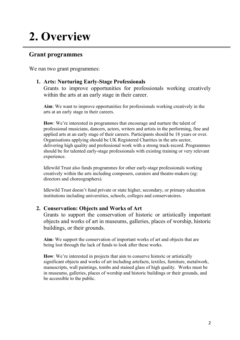### **2. Overview**

#### **Grant programmes**

We run two grant programmes:

#### **1. Arts: Nurturing Early-Stage Professionals**

Grants to improve opportunities for professionals working creatively within the arts at an early stage in their career.

**Aim**: We want to improve opportunities for professionals working creatively in the arts at an early stage in their careers.

**How**: We're interested in programmes that encourage and nurture the talent of professional musicians, dancers, actors, writers and artists in the performing, fine and applied arts at an early stage of their careers. Participants should be 18 years or over. Organisations applying should be UK Registered Charities in the arts sector, delivering high quality and professional work with a strong track-record. Programmes should be for talented early-stage professionals with existing training or very relevant experience.

Idlewild Trust also funds programmes for other early-stage professionals working creatively within the arts including composers, curators and theatre-makers (eg: directors and choreographers).

Idlewild Trust doesn't fund private or state higher, secondary, or primary education institutions including universities, schools, colleges and conservatoires.

#### **2. Conservation: Objects and Works of Art**

Grants to support the conservation of historic or artistically important objects and works of art in museums, galleries, places of worship, historic buildings, or their grounds.

**Aim**: We support the conservation of important works of art and objects that are being lost through the lack of funds to look after these works.

**How**: We're interested in projects that aim to conserve historic or artistically significant objects and works of art including artefacts, textiles, furniture, metalwork, manuscripts, wall paintings, tombs and stained glass of high quality. Works must be in museums, galleries, places of worship and historic buildings or their grounds, and be accessible to the public.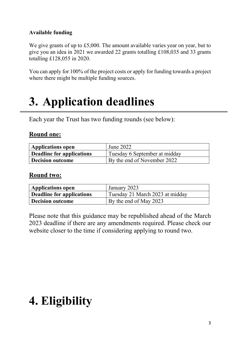#### **Available funding**

We give grants of up to £5,000. The amount available varies year on year, but to give you an idea in 2021 we awarded 22 grants totalling £108,035 and 33 grants totalling £128,055 in 2020.

You can apply for 100% of the project costs or apply for funding towards a project where there might be multiple funding sources.

### **3. Application deadlines**

Each year the Trust has two funding rounds (see below):

#### **Round one:**

| <b>Applications open</b>         | June 2022                     |
|----------------------------------|-------------------------------|
| <b>Deadline for applications</b> | Tuesday 6 September at midday |
| <b>Decision outcome</b>          | By the end of November 2022   |

#### **Round two:**

| Applications open                | January 2023                    |
|----------------------------------|---------------------------------|
| <b>Deadline for applications</b> | Tuesday 21 March 2023 at midday |
| <b>Decision outcome</b>          | By the end of May 2023          |

Please note that this guidance may be republished ahead of the March 2023 deadline if there are any amendments required. Please check our website closer to the time if considering applying to round two.

### **4. Eligibility**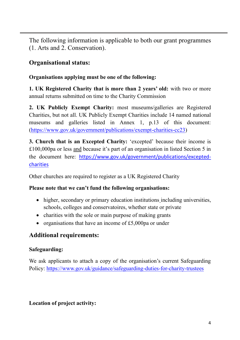The following information is applicable to both our grant programmes (1. Arts and 2. Conservation).

#### **Organisational status:**

#### **Organisations applying must be one of the following:**

**1. UK Registered Charity that is more than 2 years' old:** with two or more annual returns submitted on time to the Charity Commission

**2. UK Publicly Exempt Charity:** most museums/galleries are Registered Charities, but not all. UK Publicly Exempt Charities include 14 named national museums and galleries listed in Annex 1, p.13 of this document: [\(https://www.gov.uk/government/publications/exempt-charities-cc23\)](https://www.gov.uk/government/publications/exempt-charities-cc23)

**3. Church that is an Excepted Charity:** 'excepted' because their income is £100,000pa or less and because it's part of an organisation in listed Section 5 in the document here: [https://www.gov.uk/government/publications/excepted](https://www.gov.uk/government/publications/excepted-charities)[charities](https://www.gov.uk/government/publications/excepted-charities)

Other churches are required to register as a UK Registered Charity

#### **Please note that we can't fund the following organisations:**

- higher, secondary or primary education institutions including universities, schools, colleges and conservatoires, whether state or private
- charities with the sole or main purpose of making grants
- organisations that have an income of £5,000pa or under

#### **Additional requirements:**

#### **Safeguarding:**

We ask applicants to attach a copy of the organisation's current Safeguarding Policy:<https://www.gov.uk/guidance/safeguarding-duties-for-charity-trustees>

#### **Location of project activity:**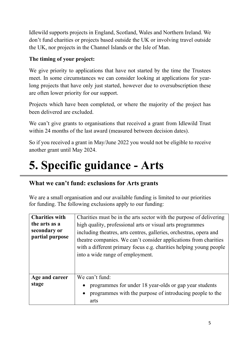Idlewild supports projects in England, Scotland, Wales and Northern Ireland. We don't fund charities or projects based outside the UK or involving travel outside the UK, nor projects in the Channel Islands or the Isle of Man.

#### **The timing of your project:**

We give priority to applications that have not started by the time the Trustees meet. In some circumstances we can consider looking at applications for yearlong projects that have only just started, however due to oversubscription these are often lower priority for our support.

Projects which have been completed, or where the majority of the project has been delivered are excluded.

We can't give grants to organisations that received a grant from Idlewild Trust within 24 months of the last award (measured between decision dates).

So if you received a grant in May/June 2022 you would not be eligible to receive another grant until May 2024.

### **5. Specific guidance - Arts**

#### **What we can't fund: exclusions for Arts grants**

We are a small organisation and our available funding is limited to our priorities for funding. The following exclusions apply to our funding:

| <b>Charities with</b><br>the arts as a<br>secondary or<br>partial purpose | Charities must be in the arts sector with the purpose of delivering<br>high quality, professional arts or visual arts programmes<br>including theatres, arts centres, galleries, orchestras, opera and<br>theatre companies. We can't consider applications from charities<br>with a different primary focus e.g. charities helping young people<br>into a wide range of employment. |
|---------------------------------------------------------------------------|--------------------------------------------------------------------------------------------------------------------------------------------------------------------------------------------------------------------------------------------------------------------------------------------------------------------------------------------------------------------------------------|
| Age and career<br>stage                                                   | We can't fund:<br>programmes for under 18 year-olds or gap year students<br>programmes with the purpose of introducing people to the<br>arts                                                                                                                                                                                                                                         |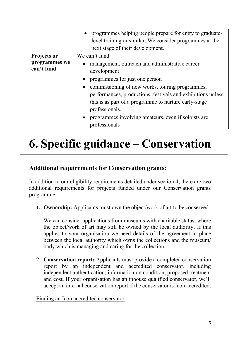|                             | • programmes helping people prepare for entry to graduate-<br>level training or similar. We consider programmes at the<br>next stage of their development.                                                                                                                                                                                                                                     |  |
|-----------------------------|------------------------------------------------------------------------------------------------------------------------------------------------------------------------------------------------------------------------------------------------------------------------------------------------------------------------------------------------------------------------------------------------|--|
| Projects or                 | We can't fund:                                                                                                                                                                                                                                                                                                                                                                                 |  |
| programmes we<br>can't fund | management, outreach and administrative career<br>development<br>programmes for just one person<br>commissioning of new works, touring programmes,<br>$\bullet$<br>performances, productions, festivals and exhibitions unless<br>this is as part of a programme to nurture early-stage<br>professionals.<br>programmes involving amateurs, even if soloists are<br>$\bullet$<br>professionals |  |

## **6. Specific guidance – Conservation**

#### **Additional requirements for Conservation grants:**

In addition to our eligibility requirements detailed under section 4, there are two additional requirements for projects funded under our Conservation grants programme.

**1. Ownership:** Applicants must own the object/work of art to be conserved.

We can consider applications from museums with charitable status, where the object/work of art may still be owned by the local authority. If this applies to your organisation we need details of the agreement in place between the local authority which owns the collections and the museum/ body which is managing and caring for the collection.

2. **Conservation report:** Applicants must provide a completed conservation report by an independent and accredited conservator, including independent authentication, information on condition, proposed treatment and cost. If your organisation has an inhouse qualified conservator, we'll accept an internal conservation report if the conservator is Icon accredited.

Finding an Icon accredited conservator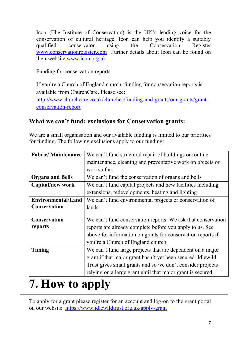Icon (The Institute of Conservation) is the UK's leading voice for the conservation of cultural heritage. Icon can help you identify a suitably qualified conservator using the Conservation Register [www.conservationregister.com](http://www.conservationregister.com/) Further details about Icon can be found on their website [www.icon.org.uk](http://www.icon.org.uk/) 

#### Funding for conservation reports

If you're a Church of England church, funding for conservation reports is available from ChurchCare. Please see:

[http://www.churchcare.co.uk/churches/funding-and-grants/our-grants/grant](http://www.churchcare.co.uk/churches/funding-and-grants/our-grants/grant-conservation-report)[conservation-report](http://www.churchcare.co.uk/churches/funding-and-grants/our-grants/grant-conservation-report)

#### **What we can't fund: exclusions for Conservation grants:**

We are a small organisation and our available funding is limited to our priorities for funding. The following exclusions apply to our funding:

| <b>Fabric/Maintenance</b> | We can't fund structural repair of buildings or routine      |  |
|---------------------------|--------------------------------------------------------------|--|
|                           | maintenance, cleaning and preventative work on objects or    |  |
|                           | works of art                                                 |  |
| <b>Organs and Bells</b>   | We can't fund the conservation of organs and bells           |  |
| Capital/new work          | We can't fund capital projects and new facilities including  |  |
|                           | extensions, redevelopments, heating and lighting             |  |
| <b>Environmental/Land</b> | We can't fund environmental projects or conservation of      |  |
| <b>Conservation</b>       | lands                                                        |  |
|                           |                                                              |  |
| <b>Conservation</b>       | We can't fund conservation reports. We ask that conservation |  |
| reports                   | reports are already complete before you apply to us. See     |  |
|                           | above for information on grants for conservation reports if  |  |
|                           | you're a Church of England church.                           |  |
| Timing                    | We can't fund large projects that are dependent on a major   |  |
|                           | grant if that major grant hasn't yet been secured. Idlewild  |  |
|                           | Trust gives small grants and so we don't consider projects   |  |
|                           | relying on a large grant until that major grant is secured.  |  |

### **7. How to apply**

To apply for a grant please register for an account and log-on to the grant portal on our website:<https://www.idlewildtrust.org.uk/apply-grant>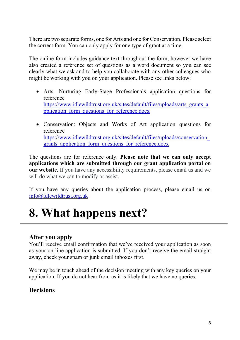There are two separate forms, one for Arts and one for Conservation. Please select the correct form. You can only apply for one type of grant at a time.

The online form includes guidance text throughout the form, however we have also created a reference set of questions as a word document so you can see clearly what we ask and to help you collaborate with any other colleagues who might be working with you on your application. Please see links below:

- Arts: Nurturing Early-Stage Professionals application questions for reference [https://www.idlewildtrust.org.uk/sites/default/files/uploads/arts\\_grants\\_a](https://www.idlewildtrust.org.uk/sites/default/files/uploads/arts_grants_application_form_questions_for_reference.docx) [pplication\\_form\\_questions\\_for\\_reference.docx](https://www.idlewildtrust.org.uk/sites/default/files/uploads/arts_grants_application_form_questions_for_reference.docx)
- Conservation: Objects and Works of Art application questions for reference [https://www.idlewildtrust.org.uk/sites/default/files/uploads/conservation\\_](https://www.idlewildtrust.org.uk/sites/default/files/uploads/conservation_grants_application_form_questions_for_reference.docx) grants application form questions for reference.docx

The questions are for reference only. **Please note that we can only accept applications which are submitted through our grant application portal on our website.** If you have any accessibility requirements, please email us and we will do what we can to modify or assist.

If you have any queries about the application process, please email us on [info@idlewildtrust.org.uk](mailto:info@idlewildtrust.org.uk)

### **8. What happens next?**

#### **After you apply**

You'll receive email confirmation that we've received your application as soon as your on-line application is submitted. If you don't receive the email straight away, check your spam or junk email inboxes first.

We may be in touch ahead of the decision meeting with any key queries on your application. If you do not hear from us it is likely that we have no queries.

#### **Decisions**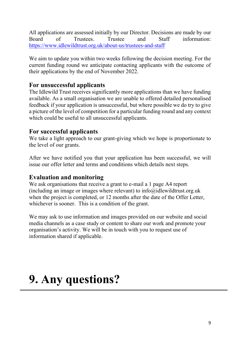All applications are assessed initially by our Director. Decisions are made by our Board of Trustees. Trustee and Staff information: <https://www.idlewildtrust.org.uk/about-us/trustees-and-staff>

We aim to update you within two weeks following the decision meeting. For the current funding round we anticipate contacting applicants with the outcome of their applications by the end of November 2022.

#### **For unsuccessful applicants**

The Idlewild Trust receives significantly more applications than we have funding available. As a small organisation we are unable to offered detailed personalised feedback if your application is unsuccessful, but where possible we do try to give a picture of the level of competition for a particular funding round and any context which could be useful to all unsuccessful applicants.

#### **For successful applicants**

We take a light approach to our grant-giving which we hope is proportionate to the level of our grants.

After we have notified you that your application has been successful, we will issue our offer letter and terms and conditions which details next steps.

#### **Evaluation and monitoring**

We ask organisations that receive a grant to e-mail a 1 page A4 report (including an image or images where relevant) to [info@idlewildtrust.org.uk](mailto:info@idlewildtrust.org.uk) when the project is completed, or 12 months after the date of the Offer Letter, whichever is sooner. This is a condition of the grant.

We may ask to use information and images provided on our website and social media channels as a case study or content to share our work and promote your organisation's activity. We will be in touch with you to request use of information shared if applicable.

### **9. Any questions?**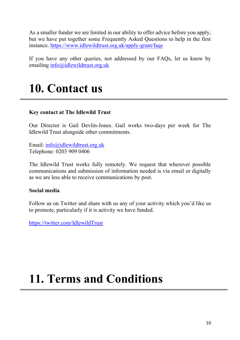As a smaller funder we are limited in our ability to offer advice before you apply, but we have put together some Frequently Asked Questions to help in the first instance.<https://www.idlewildtrust.org.uk/apply-grant/faqs>

If you have any other queries, not addressed by our FAQs, let us know by emailing [info@idlewildtrust.org.uk](mailto:info@idlewildtrust.org.uk)

### **10. Contact us**

#### **Key contact at The Idlewild Trust**

Our Director is Gail Devlin-Jones. Gail works two-days per week for The Idlewild Trust alongside other commitments.

Email: [info@idlewildtrust.org.uk](mailto:info@idlewildtrust.org.uk) Telephone: 0203 909 0406

The Idlewild Trust works fully remotely. We request that wherever possible communications and submission of information needed is via email or digitally as we are less able to receive communications by post.

#### **Social media**

Follow us on Twitter and share with us any of your activity which you'd like us to promote, particularly if it is activity we have funded.

<https://twitter.com/IdlewildTrust>

### **11. Terms and Conditions**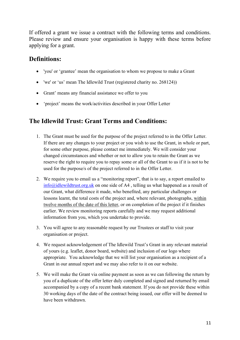If offered a grant we issue a contract with the following terms and conditions. Please review and ensure your organisation is happy with these terms before applying for a grant.

#### **Definitions:**

- 'you' or 'grantee' mean the organisation to whom we propose to make a Grant
- 'we' or 'us' mean The Idlewild Trust (registered charity no. 268124))
- Grant' means any financial assistance we offer to you
- 'project' means the work/activities described in your Offer Letter

#### **The Idlewild Trust: Grant Terms and Conditions:**

- 1. The Grant must be used for the purpose of the project referred to in the Offer Letter. If there are any changes to your project or you wish to use the Grant, in whole or part, for some other purpose, please contact me immediately. We will consider your changed circumstances and whether or not to allow you to retain the Grant as we reserve the right to require you to repay some or all of the Grant to us if it is not to be used for the purpose/s of the project referred to in the Offer Letter.
- 2. We require you to email us a "monitoring report", that is to say, a report emailed to [info@idlewildtrust.org.uk](mailto:info@idlewildtrust.org.uk) on one side of A4 , telling us what happened as a result of our Grant, what difference it made, who benefited, any particular challenges or lessons learnt, the total costs of the project and, where relevant, photographs, within twelve months of the date of this letter, or on completion of the project if it finishes earlier. We review monitoring reports carefully and we may request additional information from you, which you undertake to provide.
- 3. You will agree to any reasonable request by our Trustees or staff to visit your organisation or project.
- 4. We request acknowledgement of The Idlewild Trust's Grant in any relevant material of yours (e.g. leaflet, donor board, website) and inclusion of our logo where appropriate. You acknowledge that we will list your organisation as a recipient of a Grant in our annual report and we may also refer to it on our website.
- 5. We will make the Grant via online payment as soon as we can following the return by you of a duplicate of the offer letter duly completed and signed and returned by email accompanied by a copy of a recent bank statement. If you do not provide these within 30 working days of the date of the contract being issued, our offer will be deemed to have been withdrawn.